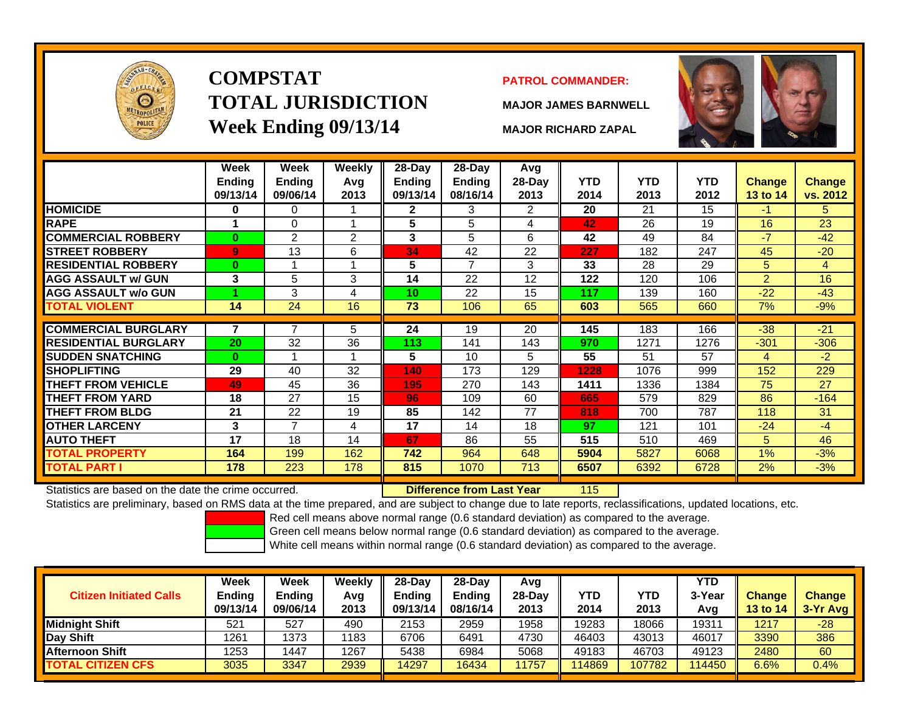

## **COMPSTATTOTAL JURISDICTIONWeek Ending 09/13/14 MAJOR RICHARD ZAPAL**

#### **PATROL COMMANDER:**

**MAJOR JAMES BARNWELL**



115

|                             | Week<br><b>Ending</b><br>09/13/14 | Week<br><b>Ending</b><br>09/06/14 | <b>Weekly</b><br>Avg<br>2013 | 28-Day<br>Ending<br>09/13/14 | $28$ -Day<br><b>Ending</b><br>08/16/14 | Avg<br>28-Day<br>2013 | <b>YTD</b><br>2014 | <b>YTD</b><br>2013 | <b>YTD</b><br>2012 | Change<br><b>13 to 14</b> | <b>Change</b><br>vs. 2012 |
|-----------------------------|-----------------------------------|-----------------------------------|------------------------------|------------------------------|----------------------------------------|-----------------------|--------------------|--------------------|--------------------|---------------------------|---------------------------|
| <b>HOMICIDE</b>             | $\bf{0}$                          | 0                                 |                              | $\mathbf{2}$                 | 3                                      | 2                     | 20                 | 21                 | 15                 | -1                        | 5.                        |
| <b>RAPE</b>                 |                                   | 0                                 |                              | 5                            | 5                                      | 4                     | 42                 | 26                 | 19                 | 16                        | 23                        |
| <b>COMMERCIAL ROBBERY</b>   | $\bf{0}$                          | $\overline{2}$                    | $\overline{2}$               | 3                            | 5                                      | 6                     | 42                 | 49                 | 84                 | $-7$                      | $-42$                     |
| <b>STREET ROBBERY</b>       | $\overline{9}$                    | 13                                | 6                            | 34                           | 42                                     | 22                    | 227                | 182                | 247                | 45                        | $-20$                     |
| <b>RESIDENTIAL ROBBERY</b>  | $\bf{0}$                          |                                   |                              | 5                            | 7                                      | 3                     | 33                 | 28                 | 29                 | 5                         | 4                         |
| <b>AGG ASSAULT w/ GUN</b>   | 3                                 | 5                                 | 3                            | 14                           | 22                                     | 12                    | 122                | 120                | 106                | $\overline{2}$            | 16                        |
| <b>AGG ASSAULT w/o GUN</b>  |                                   | 3                                 | 4                            | 10                           | 22                                     | 15                    | 117                | 139                | 160                | $-22$                     | $-43$                     |
| <b>TOTAL VIOLENT</b>        | 14                                | 24                                | 16                           | 73                           | 106                                    | 65                    | 603                | 565                | 660                | 7%                        | $-9%$                     |
|                             |                                   | 7                                 |                              |                              |                                        |                       |                    |                    |                    |                           |                           |
| <b>COMMERCIAL BURGLARY</b>  | 7                                 |                                   | 5                            | 24                           | 19                                     | 20                    | 145                | 183                | 166                | $-38$                     | $-21$                     |
| <b>RESIDENTIAL BURGLARY</b> | 20                                | 32                                | 36                           | 113                          | 141                                    | 143                   | 970                | 1271               | 1276               | $-301$                    | $-306$                    |
| <b>SUDDEN SNATCHING</b>     | $\bf{0}$                          |                                   |                              | 5                            | 10                                     | 5                     | 55                 | 51                 | 57                 | 4                         | $-2$                      |
| <b>SHOPLIFTING</b>          | 29                                | 40                                | 32                           | 140                          | 173                                    | 129                   | 1228               | 1076               | 999                | 152                       | 229                       |
| <b>THEFT FROM VEHICLE</b>   | 49                                | 45                                | 36                           | 195                          | 270                                    | 143                   | 1411               | 1336               | 1384               | 75                        | 27                        |
| <b>THEFT FROM YARD</b>      | 18                                | 27                                | 15                           | 96                           | 109                                    | 60                    | 665                | 579                | 829                | 86                        | $-164$                    |
| <b>THEFT FROM BLDG</b>      | 21                                | 22                                | 19                           | 85                           | 142                                    | 77                    | 818                | 700                | 787                | 118                       | 31                        |
| <b>OTHER LARCENY</b>        | 3                                 | $\overline{7}$                    | 4                            | 17                           | 14                                     | 18                    | 97                 | 121                | 101                | $-24$                     | $-4$                      |
| <b>AUTO THEFT</b>           | 17                                | 18                                | 14                           | 67                           | 86                                     | 55                    | 515                | 510                | 469                | 5                         | 46                        |
| <b>TOTAL PROPERTY</b>       | 164                               | 199                               | 162                          | 742                          | 964                                    | 648                   | 5904               | 5827               | 6068               | $1\%$                     | $-3%$                     |
| <b>TOTAL PART I</b>         | 178                               | 223                               | 178                          | 815                          | 1070                                   | 713                   | 6507               | 6392               | 6728               | 2%                        | $-3%$                     |

Statistics are based on the date the crime occurred. **Difference from Last Year** 

Statistics are preliminary, based on RMS data at the time prepared, and are subject to change due to late reports, reclassifications, updated locations, etc.

Red cell means above normal range (0.6 standard deviation) as compared to the average.

Green cell means below normal range (0.6 standard deviation) as compared to the average.

| <b>Citizen Initiated Calls</b> | Week<br><b>Ending</b><br>09/13/14 | Week<br><b>Ending</b><br>09/06/14 | Weekly<br>Avg<br>2013 | 28-Day<br><b>Ending</b><br>09/13/14 | $28$ -Day<br><b>Ending</b><br>08/16/14 | Avg<br>$28-Dav$<br>2013 | YTD<br>2014 | YTD<br>2013 | <b>YTD</b><br>3-Year<br>Avg | <b>Change</b><br><b>13 to 14</b> | <b>Change</b><br>3-Yr Avg |
|--------------------------------|-----------------------------------|-----------------------------------|-----------------------|-------------------------------------|----------------------------------------|-------------------------|-------------|-------------|-----------------------------|----------------------------------|---------------------------|
| <b>Midnight Shift</b>          | 521                               | 527                               | 490                   | 2153                                | 2959                                   | 1958                    | 19283       | 18066       | 1931 <sup>.</sup>           | 1217                             | $-28$                     |
| Day Shift                      | 1261                              | 1373                              | 1183                  | 6706                                | 6491                                   | 4730                    | 46403       | 43013       | 46017                       | 3390                             | 386                       |
| <b>Afternoon Shift</b>         | 1253                              | 1447                              | 1267                  | 5438                                | 6984                                   | 5068                    | 49183       | 46703       | 49123                       | 2480                             | 60                        |
| <b>TOTAL CITIZEN CFS</b>       | 3035                              | 3347                              | 2939                  | 14297                               | 16434                                  | 1757                    | 114869      | 107782      | 114450                      | 6.6%                             | 0.4%                      |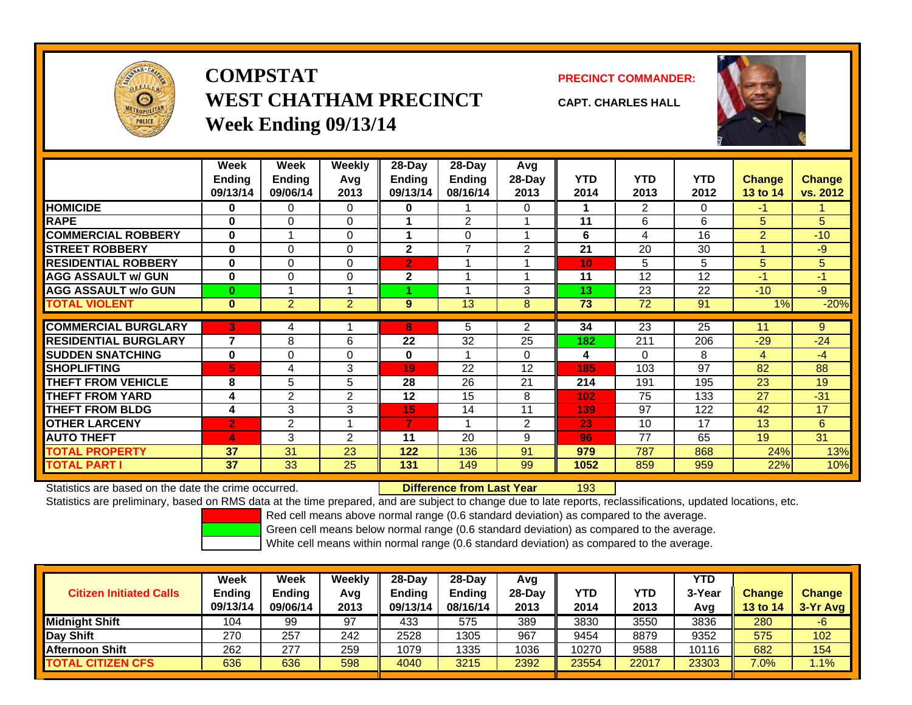

## **COMPSTATWEST CHATHAM PRECINCTWeek Ending 09/13/14**

**PRECINCT COMMANDER:**



**CAPT. CHARLES HALL**

|                             | Week<br><b>Ending</b><br>09/13/14 | Week<br><b>Ending</b><br>09/06/14 | Weekly<br>Avg<br>2013 | $28$ -Day<br><b>Ending</b><br>09/13/14 | $28-Day$<br><b>Ending</b><br>08/16/14 | Avg<br>$28-Day$<br>2013 | <b>YTD</b><br>2014 | <b>YTD</b><br>2013 | <b>YTD</b><br>2012 | <b>Change</b><br>13 to 14 | <b>Change</b><br>vs. 2012 |
|-----------------------------|-----------------------------------|-----------------------------------|-----------------------|----------------------------------------|---------------------------------------|-------------------------|--------------------|--------------------|--------------------|---------------------------|---------------------------|
| <b>HOMICIDE</b>             | 0                                 | $\Omega$                          | 0                     | $\bf{0}$                               |                                       | 0                       |                    | 2                  | 0                  | -1                        |                           |
| <b>RAPE</b>                 | $\bf{0}$                          | $\Omega$                          | $\Omega$              | 1                                      | $\overline{2}$                        |                         | 11                 | 6                  | 6                  | 5                         | 5                         |
| <b>COMMERCIAL ROBBERY</b>   | $\bf{0}$                          |                                   | 0                     | 1                                      | $\Omega$                              |                         | 6                  | 4                  | 16                 | 2                         | $-10$                     |
| <b>STREET ROBBERY</b>       | $\bf{0}$                          | $\Omega$                          | $\Omega$              | $\overline{2}$                         | 7                                     | $\overline{2}$          | 21                 | 20                 | 30                 |                           | $-9$                      |
| <b>RESIDENTIAL ROBBERY</b>  | $\bf{0}$                          | $\Omega$                          | 0                     | $\overline{2}$                         |                                       |                         | 10                 | 5                  | 5                  | 5                         | 5                         |
| <b>AGG ASSAULT w/ GUN</b>   | $\bf{0}$                          | $\Omega$                          | $\Omega$              | $\mathbf{2}$                           | 4                                     | и                       | 11                 | 12                 | 12                 | $-1$                      | $-1$                      |
| <b>AGG ASSAULT w/o GUN</b>  | $\bf{0}$                          |                                   | $\overline{A}$        |                                        | 4                                     | 3                       | 13                 | 23                 | 22                 | $-10$                     | $-9$                      |
| <b>TOTAL VIOLENT</b>        | $\bf{0}$                          | $\overline{2}$                    | $\overline{2}$        | 9                                      | 13                                    | 8                       | 73                 | 72                 | 91                 | 1%                        | $-20%$                    |
|                             |                                   |                                   |                       |                                        |                                       |                         |                    |                    |                    |                           |                           |
| <b>COMMERCIAL BURGLARY</b>  | 3                                 | 4                                 |                       | 8                                      | 5                                     | 2                       | 34                 | 23                 | 25                 | 11                        | 9                         |
| <b>RESIDENTIAL BURGLARY</b> | 7                                 | 8                                 | 6                     | 22                                     | 32                                    | 25                      | 182                | 211                | 206                | $-29$                     | $-24$                     |
| <b>SUDDEN SNATCHING</b>     | $\bf{0}$                          | $\Omega$                          | $\Omega$              | $\bf{0}$                               | 1                                     | 0                       | 4                  | $\Omega$           | 8                  | 4                         | -4                        |
| <b>SHOPLIFTING</b>          | 5                                 | 4                                 | 3                     | 19                                     | 22                                    | 12                      | 185                | 103                | 97                 | 82                        | 88                        |
| <b>THEFT FROM VEHICLE</b>   | 8                                 | 5                                 | 5                     | 28                                     | 26                                    | 21                      | 214                | 191                | 195                | 23                        | 19                        |
| <b>THEFT FROM YARD</b>      | 4                                 | 2                                 | $\overline{2}$        | 12                                     | 15                                    | 8                       | 102                | 75                 | 133                | 27                        | $-31$                     |
| <b>THEFT FROM BLDG</b>      | 4                                 | 3                                 | 3                     | 15                                     | 14                                    | 11                      | 139                | 97                 | 122                | 42                        | 17                        |
| <b>OTHER LARCENY</b>        | $\overline{2}$                    | $\overline{2}$                    |                       | 7                                      | 4                                     | 2                       | 23                 | 10                 | 17                 | 13                        | 6                         |
| <b>AUTO THEFT</b>           | 4                                 | 3                                 | $\overline{2}$        | 11                                     | 20                                    | 9                       | 96                 | 77                 | 65                 | 19                        | 31                        |
| <b>TOTAL PROPERTY</b>       | 37                                | 31                                | 23                    | 122                                    | 136                                   | 91                      | 979                | 787                | 868                | 24%                       | 13%                       |
| TOTAL PART I                | 37                                | 33                                | 25                    | 131                                    | 149                                   | 99                      | 1052               | 859                | 959                | 22%                       | 10%                       |

Statistics are based on the date the crime occurred. **Difference from Last Year** 

193

Statistics are preliminary, based on RMS data at the time prepared, and are subject to change due to late reports, reclassifications, updated locations, etc.

Red cell means above normal range (0.6 standard deviation) as compared to the average.

Green cell means below normal range (0.6 standard deviation) as compared to the average.

| <b>Citizen Initiated Calls</b> | Week<br><b>Ending</b><br>09/13/14 | <b>Week</b><br><b>Ending</b><br>09/06/14 | <b>Weekly</b><br>Avg<br>2013 | $28-Day$<br><b>Ending</b><br>09/13/14 | $28$ -Day<br><b>Ending</b><br>08/16/14 | Avg<br>28-Day<br>2013 | YTD<br>2014 | YTD<br>2013 | <b>YTD</b><br>3-Year<br>Avg | <b>Change</b><br><b>13 to 14</b> | <b>Change</b><br>3-Yr Avg |
|--------------------------------|-----------------------------------|------------------------------------------|------------------------------|---------------------------------------|----------------------------------------|-----------------------|-------------|-------------|-----------------------------|----------------------------------|---------------------------|
| Midnight Shift                 | 104                               | 99                                       | 97                           | 433                                   | 575                                    | 389                   | 3830        | 3550        | 3836                        | 280                              | -6                        |
| Day Shift                      | 270                               | 257                                      | 242                          | 2528                                  | 1305                                   | 967                   | 9454        | 8879        | 9352                        | 575                              | 102                       |
| <b>Afternoon Shift</b>         | 262                               | 277                                      | 259                          | 1079                                  | 1335                                   | 1036                  | 10270       | 9588        | 10116                       | 682                              | 154                       |
| <b>TOTAL CITIZEN CFS</b>       | 636                               | 636                                      | 598                          | 4040                                  | 3215                                   | 2392                  | 23554       | 22017       | 23303                       | 7.0%                             | $1.1\%$                   |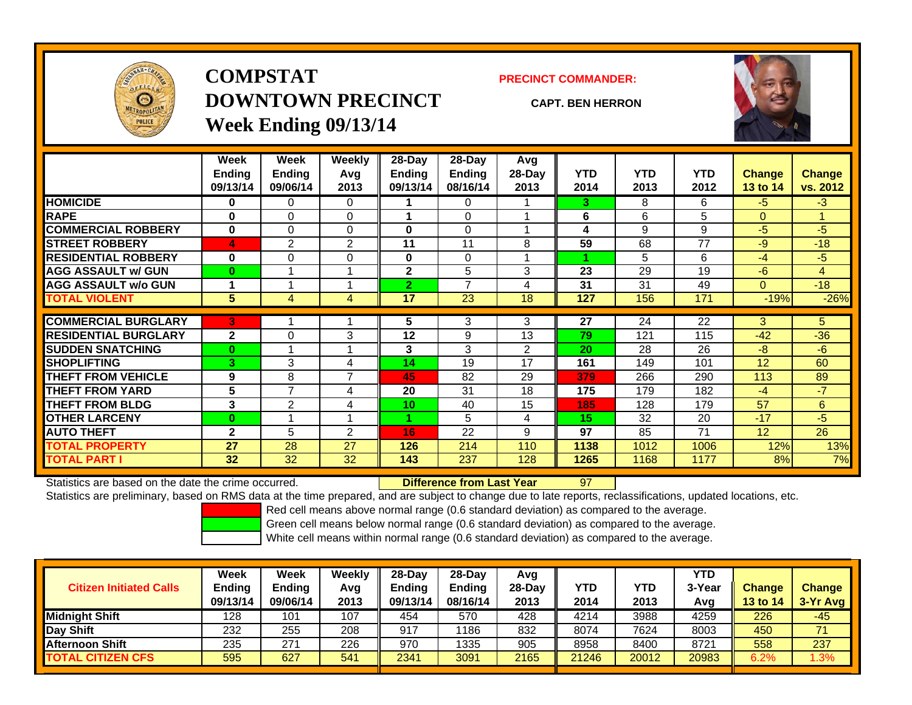

## **COMPSTATDOWNTOWN PRECINCTWeek Ending 09/13/14**

**PRECINCT COMMANDER:**

**CAPT. BEN HERRON**



|                             | Week          | <b>Week</b>    | <b>Weekly</b> | 28-Day         | 28-Day        | Avg            |            |            |            |               |                |
|-----------------------------|---------------|----------------|---------------|----------------|---------------|----------------|------------|------------|------------|---------------|----------------|
|                             | <b>Ending</b> | <b>Ending</b>  | Avg           | <b>Ending</b>  | <b>Ending</b> | 28-Day         | <b>YTD</b> | <b>YTD</b> | <b>YTD</b> | <b>Change</b> | <b>Change</b>  |
|                             | 09/13/14      | 09/06/14       | 2013          | 09/13/14       | 08/16/14      | 2013           | 2014       | 2013       | 2012       | 13 to 14      | vs. 2012       |
| <b>HOMICIDE</b>             | $\bf{0}$      | 0              | 0             |                | 0             |                | 3.         | 8          | 6          | $-5$          | $-3$           |
| <b>RAPE</b>                 | $\bf{0}$      | 0              | $\Omega$      |                | $\Omega$      |                | 6          | 6          | 5          | $\Omega$      | 1.             |
| <b>COMMERCIAL ROBBERY</b>   | $\bf{0}$      | 0              | $\Omega$      | $\bf{0}$       | $\Omega$      |                | 4          | 9          | 9          | $-5$          | $-5$           |
| <b>STREET ROBBERY</b>       | 4             | 2              | 2             | 11             | 11            | 8              | 59         | 68         | 77         | $-9$          | $-18$          |
| <b>RESIDENTIAL ROBBERY</b>  | $\bf{0}$      | 0              | $\Omega$      | $\bf{0}$       | $\Omega$      |                |            | 5          | 6          | $-4$          | $-5$           |
| <b>AGG ASSAULT w/ GUN</b>   | $\bf{0}$      |                |               | $\mathbf{2}$   | 5             | 3              | 23         | 29         | 19         | $-6$          | $\overline{4}$ |
| <b>AGG ASSAULT w/o GUN</b>  | 1             |                |               | $\overline{2}$ | 7             | 4              | 31         | 31         | 49         | $\Omega$      | $-18$          |
| <b>TOTAL VIOLENT</b>        | 5             | 4              | 4             | 17             | 23            | 18             | 127        | 156        | 171        | $-19%$        | $-26%$         |
|                             |               |                |               |                |               |                |            |            |            |               |                |
| <b>COMMERCIAL BURGLARY</b>  | 3             |                |               | 5              | 3             | 3              | 27         | 24         | 22         | 3             | 5.             |
| <b>RESIDENTIAL BURGLARY</b> | $\mathbf{2}$  | 0              | 3             | 12             | 9             | 13             | 79         | 121        | 115        | $-42$         | $-36$          |
| <b>SUDDEN SNATCHING</b>     | $\bf{0}$      |                |               | 3              | 3             | $\overline{2}$ | 20         | 28         | 26         | -8            | $-6$           |
| <b>SHOPLIFTING</b>          | 3             | 3              | 4             | 14             | 19            | 17             | 161        | 149        | 101        | 12            | 60             |
| <b>THEFT FROM VEHICLE</b>   | 9             | 8              | 7             | 45             | 82            | 29             | 379        | 266        | 290        | 113           | 89             |
| <b>THEFT FROM YARD</b>      | 5             | 7              | 4             | 20             | 31            | 18             | 175        | 179        | 182        | $-4$          | $-7$           |
| <b>THEFT FROM BLDG</b>      | 3             | $\overline{2}$ | 4             | 10             | 40            | 15             | 185        | 128        | 179        | 57            | 6              |
| <b>OTHER LARCENY</b>        | $\bf{0}$      |                |               |                | 5             | 4              | 15         | 32         | 20         | $-17$         | $-5$           |
| <b>AUTO THEFT</b>           | $\mathbf{2}$  | 5              | 2             | 16             | 22            | 9              | 97         | 85         | 71         | 12            | 26             |
| <b>TOTAL PROPERTY</b>       | 27            | 28             | 27            | 126            | 214           | 110            | 1138       | 1012       | 1006       | 12%           | 13%            |
| <b>TOTAL PART I</b>         | 32            | 32             | 32            | 143            | 237           | 128            | 1265       | 1168       | 1177       | 8%            | 7%             |

Statistics are based on the date the crime occurred. **Difference from Last Year** 

Statistics are preliminary, based on RMS data at the time prepared, and are subject to change due to late reports, reclassifications, updated locations, etc.

97

Red cell means above normal range (0.6 standard deviation) as compared to the average.

Green cell means below normal range (0.6 standard deviation) as compared to the average.

| <b>Citizen Initiated Calls</b> | Week<br><b>Ending</b><br>09/13/14 | <b>Week</b><br><b>Endina</b><br>09/06/14 | Weekly<br>Avg<br>2013 | 28-Day<br><b>Ending</b><br>09/13/14 | 28-Day<br>Ending<br>08/16/14 | Avg<br>28-Dav<br>2013 | YTD<br>2014 | YTD<br>2013 | YTD<br>3-Year<br>Avg | <b>Change</b><br>13 to 14 | <b>Change</b><br>3-Yr Avg |
|--------------------------------|-----------------------------------|------------------------------------------|-----------------------|-------------------------------------|------------------------------|-----------------------|-------------|-------------|----------------------|---------------------------|---------------------------|
| <b>Midnight Shift</b>          | 128                               | 101                                      | 107                   | 454                                 | 570                          | 428                   | 4214        | 3988        | 4259                 | 226                       | $-45$                     |
| Day Shift                      | 232                               | 255                                      | 208                   | 917                                 | 1186                         | 832                   | 8074        | 7624        | 8003                 | 450                       | 71                        |
| <b>Afternoon Shift</b>         | 235                               | 271                                      | 226                   | 970                                 | 1335                         | 905                   | 8958        | 8400        | 8721                 | 558                       | 237                       |
| <b>TOTAL CITIZEN CFS</b>       | 595                               | 627                                      | 541                   | 2341                                | 3091                         | 2165                  | 21246       | 20012       | 20983                | 6.2%                      | .3%                       |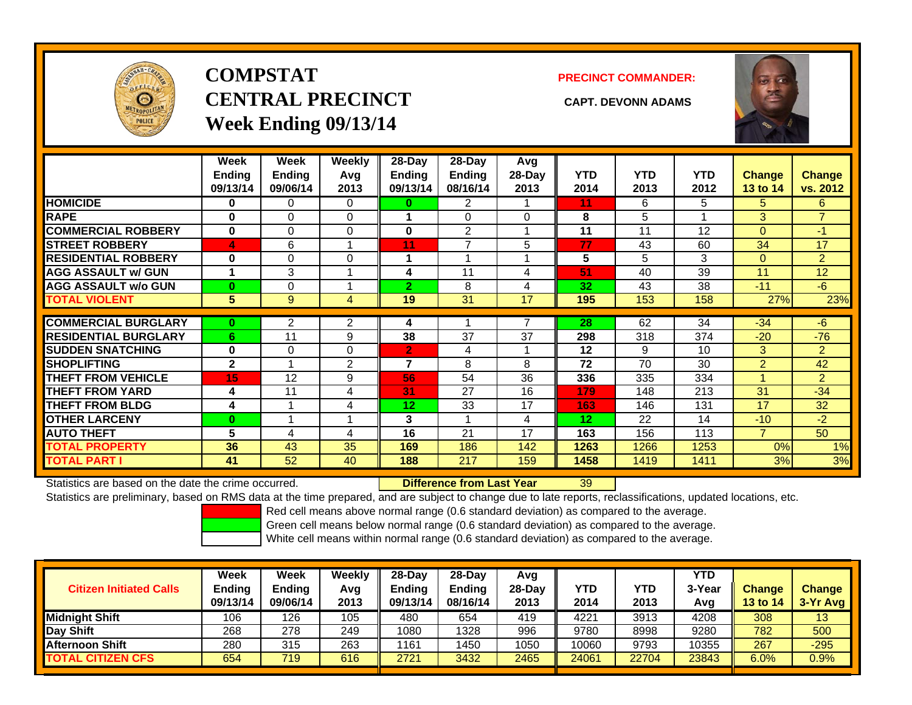

# **COMPSTATCENTRAL PRECINCT CAPT. DEVONN ADAMSWeek Ending 09/13/14**

**PRECINCT COMMANDER:**



|                             | Week<br><b>Ending</b><br>09/13/14 | Week<br>Ending<br>09/06/14 | <b>Weekly</b><br>Avq<br>2013 | $28$ -Day<br>Ending<br>09/13/14 | $28$ -Day<br><b>Ending</b><br>08/16/14 | Avg<br>28-Day<br>2013 | <b>YTD</b><br>2014 | <b>YTD</b><br>2013 | <b>YTD</b><br>2012 | <b>Change</b><br>13 to 14 | <b>Change</b><br>vs. 2012 |
|-----------------------------|-----------------------------------|----------------------------|------------------------------|---------------------------------|----------------------------------------|-----------------------|--------------------|--------------------|--------------------|---------------------------|---------------------------|
| <b>HOMICIDE</b>             | 0                                 | 0                          | $\Omega$                     | 0                               | 2                                      |                       | 11                 | 6                  | 5                  | 5                         | 6                         |
| <b>RAPE</b>                 | 0                                 | 0                          | $\Omega$                     |                                 | $\Omega$                               | 0                     | 8                  | 5                  |                    | 3                         | $\overline{7}$            |
| <b>COMMERCIAL ROBBERY</b>   | 0                                 | 0                          | $\Omega$                     | 0                               | 2                                      |                       | 11                 | 11                 | 12                 | $\Omega$                  | $-1$                      |
| <b>STREET ROBBERY</b>       | 4                                 | 6                          |                              | 11                              | $\overline{ }$                         | 5                     | 77                 | 43                 | 60                 | 34                        | 17                        |
| <b>RESIDENTIAL ROBBERY</b>  | 0                                 | 0                          | 0                            |                                 |                                        |                       | 5                  | 5.                 | 3                  | $\mathbf{0}$              | $\overline{2}$            |
| <b>AGG ASSAULT w/ GUN</b>   | 1                                 | 3                          |                              | 4                               | 11                                     | 4                     | 51                 | 40                 | 39                 | 11                        | 12                        |
| <b>AGG ASSAULT w/o GUN</b>  | $\bf{0}$                          | 0                          |                              | $\overline{2}$                  | 8                                      | 4                     | 32                 | 43                 | 38                 | $-11$                     | $-6$                      |
| <b>TOTAL VIOLENT</b>        | 5                                 | 9                          | 4                            | 19                              | 31                                     | 17                    | 195                | 153                | 158                | 27%                       | 23%                       |
|                             |                                   |                            |                              |                                 |                                        |                       |                    |                    |                    |                           |                           |
| <b>COMMERCIAL BURGLARY</b>  | $\bf{0}$                          | 2                          | 2                            | 4                               |                                        |                       | 28                 | 62                 | 34                 | $-34$                     | $-6$                      |
| <b>RESIDENTIAL BURGLARY</b> | 6                                 | 11                         | 9                            | 38                              | 37                                     | 37                    | 298                | 318                | 374                | $-20$                     | $-76$                     |
| <b>ISUDDEN SNATCHING</b>    | 0                                 | 0                          | $\Omega$                     | 2.                              | 4                                      |                       | 12                 | 9                  | 10                 | 3                         | $\overline{2}$            |
| <b>SHOPLIFTING</b>          | $\overline{2}$                    |                            | $\overline{2}$               | $\overline{7}$                  | 8                                      | 8                     | 72                 | 70                 | 30                 | 2                         | 42                        |
| <b>THEFT FROM VEHICLE</b>   | 15                                | 12                         | 9                            | 56                              | 54                                     | 36                    | 336                | 335                | 334                |                           | $\overline{2}$            |
| <b>THEFT FROM YARD</b>      | 4                                 | 11                         | 4                            | 31                              | 27                                     | 16                    | 179                | 148                | 213                | 31                        | $-34$                     |
| <b>THEFT FROM BLDG</b>      | 4                                 |                            | 4                            | 12                              | 33                                     | 17                    | 163                | 146                | 131                | 17                        | 32                        |
| <b>OTHER LARCENY</b>        | $\bf{0}$                          |                            |                              | 3                               |                                        | 4                     | 12                 | 22                 | 14                 | $-10$                     | $-2$                      |
| <b>AUTO THEFT</b>           | 5                                 | 4                          | 4                            | 16                              | 21                                     | 17                    | 163                | 156                | 113                | $\overline{7}$            | 50                        |
| <b>TOTAL PROPERTY</b>       | 36                                | 43                         | 35                           | 169                             | 186                                    | 142                   | 1263               | 1266               | 1253               | 0%                        | 1%                        |
| <b>TOTAL PART I</b>         | 41                                | 52                         | 40                           | 188                             | 217                                    | 159                   | 1458               | 1419               | 1411               | 3%                        | 3%                        |

Statistics are based on the date the crime occurred. **Difference from Last Year** 

39

Statistics are preliminary, based on RMS data at the time prepared, and are subject to change due to late reports, reclassifications, updated locations, etc.

Red cell means above normal range (0.6 standard deviation) as compared to the average.

Green cell means below normal range (0.6 standard deviation) as compared to the average.

| <b>Citizen Initiated Calls</b> | <b>Week</b><br>Ending<br>09/13/14 | Week<br><b>Ending</b><br>09/06/14 | Weekly<br>Avg<br>2013 | $28-Day$<br><b>Ending</b><br>09/13/14 | 28-Dav<br><b>Ending</b><br>08/16/14 | Avg<br>28-Day<br>2013 | YTD<br>2014 | YTD<br>2013 | YTD<br>3-Year<br>Avg | <b>Change</b><br>13 to 14 | <b>Change</b><br>3-Yr Avg |
|--------------------------------|-----------------------------------|-----------------------------------|-----------------------|---------------------------------------|-------------------------------------|-----------------------|-------------|-------------|----------------------|---------------------------|---------------------------|
| <b>Midnight Shift</b>          | 106                               | 126                               | 105                   | 480                                   | 654                                 | 419                   | 4221        | 3913        | 4208                 | 308                       | 13                        |
| Day Shift                      | 268                               | 278                               | 249                   | 1080                                  | 328                                 | 996                   | 9780        | 8998        | 9280                 | 782                       | 500                       |
| <b>Afternoon Shift</b>         | 280                               | 315                               | 263                   | 1161                                  | 1450                                | 1050                  | 10060       | 9793        | 10355                | 267                       | $-295$                    |
| <b>TOTAL CITIZEN CFS</b>       | 654                               | 719                               | 616                   | 2721                                  | 3432                                | 2465                  | 24061       | 22704       | 23843                | 6.0%                      | $0.9\%$                   |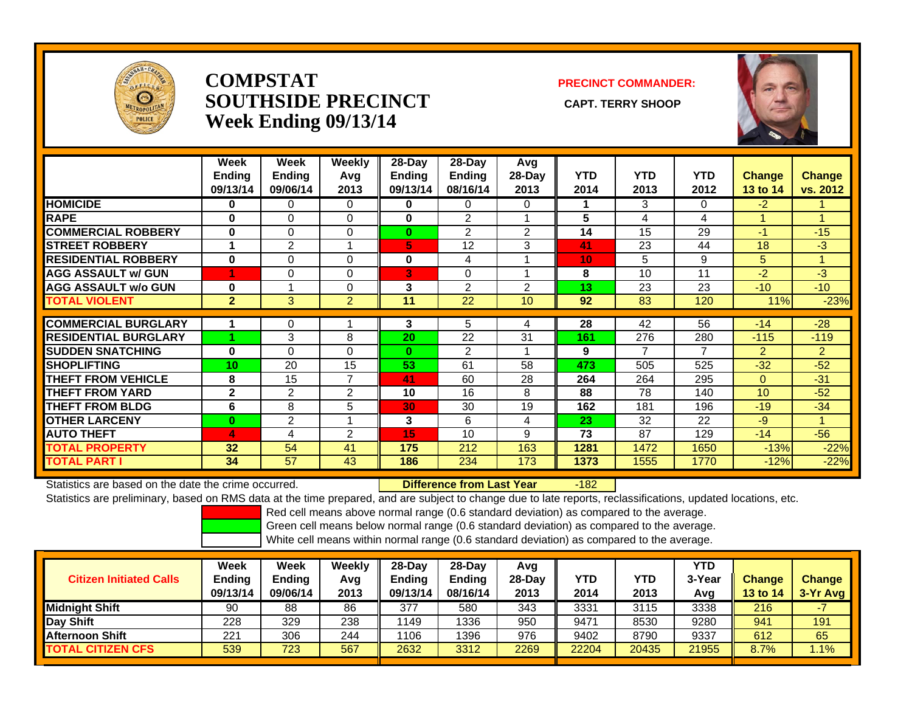

#### **COMPSTATSOUTHSIDE PRECINCT** CAPT. TERRY SHOOP **Week Ending 09/13/14**

#### **PRECINCT COMMANDER:**



|                             | Week<br><b>Ending</b><br>09/13/14 | Week<br><b>Ending</b><br>09/06/14 | Weekly<br>Avg<br>2013 | 28-Day<br><b>Ending</b><br>09/13/14 | 28-Day<br><b>Ending</b><br>08/16/14 | Avg<br>28-Day<br>2013 | <b>YTD</b><br>2014 | <b>YTD</b><br>2013 | <b>YTD</b><br>2012 | <b>Change</b><br>13 to 14 | <b>Change</b><br>vs. 2012 |
|-----------------------------|-----------------------------------|-----------------------------------|-----------------------|-------------------------------------|-------------------------------------|-----------------------|--------------------|--------------------|--------------------|---------------------------|---------------------------|
| <b>HOMICIDE</b>             | 0                                 | 0                                 | $\Omega$              | $\bf{0}$                            | 0                                   | $\Omega$              |                    | 3                  | 0                  | $-2$                      |                           |
| <b>RAPE</b>                 | $\bf{0}$                          | $\Omega$                          | 0                     | $\bf{0}$                            | $\overline{2}$                      |                       | 5                  | 4                  | 4                  |                           |                           |
| <b>COMMERCIAL ROBBERY</b>   | 0                                 | 0                                 | 0                     | $\bf{0}$                            | $\overline{2}$                      | 2                     | 14                 | 15                 | 29                 | $-1$                      | $-15$                     |
| <b>STREET ROBBERY</b>       |                                   | $\overline{2}$                    |                       | 61                                  | 12                                  | 3                     | 41                 | 23                 | 44                 | 18                        | $-3$                      |
| <b>RESIDENTIAL ROBBERY</b>  | $\bf{0}$                          | 0                                 | 0                     | 0                                   | 4                                   |                       | 10 <sub>1</sub>    | 5                  | 9                  | 5                         |                           |
| <b>AGG ASSAULT w/ GUN</b>   |                                   | 0                                 | 0                     | 3                                   | 0                                   |                       | 8                  | 10                 | 11                 | -2                        | $-3$                      |
| <b>AGG ASSAULT w/o GUN</b>  | $\bf{0}$                          |                                   | 0                     | 3                                   | $\overline{2}$                      | 2                     | 13                 | 23                 | 23                 | $-10$                     | $-10$                     |
| <b>TOTAL VIOLENT</b>        | $\overline{2}$                    | 3 <sup>1</sup>                    | $\overline{2}$        | 11                                  | 22                                  | 10                    | 92                 | 83                 | 120                | 11%                       | $-23%$                    |
|                             |                                   |                                   |                       |                                     |                                     |                       |                    |                    |                    |                           |                           |
| <b>COMMERCIAL BURGLARY</b>  |                                   | 0                                 |                       | 3                                   | 5                                   | 4                     | 28                 | 42                 | 56                 | $-14$                     | $-28$                     |
| <b>RESIDENTIAL BURGLARY</b> |                                   | 3                                 | 8                     | 20                                  | 22                                  | 31                    | 161                | 276                | 280                | $-115$                    | $-119$                    |
| <b>SUDDEN SNATCHING</b>     | $\bf{0}$                          | 0                                 | $\Omega$              | $\bf{0}$                            | 2                                   |                       | 9                  | 7                  | 7                  | 2                         | $\overline{2}$            |
| <b>SHOPLIFTING</b>          | 10                                | 20                                | 15                    | 53                                  | 61                                  | 58                    | 473                | 505                | 525                | $-32$                     | $-52$                     |
| <b>THEFT FROM VEHICLE</b>   | 8                                 | 15                                | $\overline{7}$        | 41                                  | 60                                  | 28                    | 264                | 264                | 295                | $\Omega$                  | $-31$                     |
| <b>THEFT FROM YARD</b>      | $\overline{2}$                    | 2                                 | 2                     | 10                                  | 16                                  | 8                     | 88                 | 78                 | 140                | 10                        | $-52$                     |
| <b>THEFT FROM BLDG</b>      | 6                                 | 8                                 | 5                     | 30                                  | 30                                  | 19                    | 162                | 181                | 196                | $-19$                     | $-34$                     |
| <b>OTHER LARCENY</b>        | $\bf{0}$                          | $\overline{2}$                    |                       | 3                                   | 6                                   | 4                     | 23                 | 32                 | 22                 | -9                        |                           |
| <b>AUTO THEFT</b>           | 4                                 | 4                                 | 2                     | 15                                  | 10                                  | 9                     | 73                 | 87                 | 129                | $-14$                     | $-56$                     |
| <b>TOTAL PROPERTY</b>       | 32                                | 54                                | 41                    | 175                                 | 212                                 | 163                   | 1281               | 1472               | 1650               | $-13%$                    | $-22%$                    |
| <b>TOTAL PART I</b>         | 34                                | 57                                | 43                    | 186                                 | 234                                 | 173                   | 1373               | 1555               | 1770               | $-12%$                    | $-22%$                    |

Statistics are based on the date the crime occurred. **Difference from Last Year** 

-182

Statistics are preliminary, based on RMS data at the time prepared, and are subject to change due to late reports, reclassifications, updated locations, etc.

Red cell means above normal range (0.6 standard deviation) as compared to the average.

Green cell means below normal range (0.6 standard deviation) as compared to the average.

| <b>Citizen Initiated Calls</b> | Week<br>Ending<br>09/13/14 | Week<br><b>Ending</b><br>09/06/14 | Weekly<br>Avg<br>2013 | $28-Dav$<br>Ending<br>09/13/14 | 28-Dav<br><b>Ending</b><br>08/16/14 | Avg<br>$28-Dav$<br>2013 | YTD<br>2014 | YTD<br>2013 | YTD<br>3-Year<br>Avg | <b>Change</b><br>13 to 14 | <b>Change</b><br>3-Yr Avg |
|--------------------------------|----------------------------|-----------------------------------|-----------------------|--------------------------------|-------------------------------------|-------------------------|-------------|-------------|----------------------|---------------------------|---------------------------|
| <b>Midnight Shift</b>          | 90                         | 88                                | 86                    | 377                            | 580                                 | 343                     | 3331        | 3115        | 3338                 | 216                       |                           |
| Day Shift                      | 228                        | 329                               | 238                   | 1149                           | 1336                                | 950                     | 9471        | 8530        | 9280                 | 941                       | 191                       |
| <b>Afternoon Shift</b>         | 221                        | 306                               | 244                   | 1106                           | 1396                                | 976                     | 9402        | 8790        | 9337                 | 612                       | 65                        |
| <b>TOTAL CITIZEN CFS</b>       | 539                        | 723                               | 567                   | 2632                           | 3312                                | 2269                    | 22204       | 20435       | 21955                | 8.7%                      | 1.1%                      |